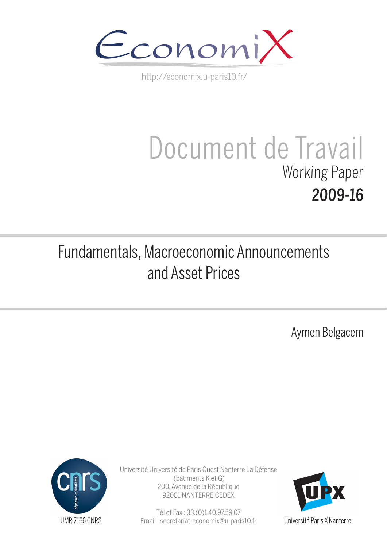

http://economix.u-paris10.fr/

# Document de Travail Working Paper 2009-16

# Fundamentals, Macroeconomic Announcements and Asset Prices

Aymen Belgacem



Université Université de Paris Ouest Nanterre La Défense (bâtiments K et G) 200, Avenue de la République 92001 NANTERRE CEDEX

> Tél et Fax : 33.(0)1.40.97.59.07 Email : secretariat-economix@u-paris10.fr



Université Paris X Nanterre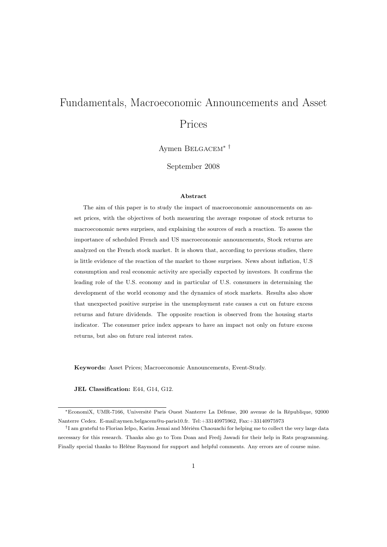# Fundamentals, Macroeconomic Announcements and Asset Prices

Aymen Belgacem∗ †

September 2008

#### Abstract

The aim of this paper is to study the impact of macroeconomic announcements on asset prices, with the objectives of both measuring the average response of stock returns to macroeconomic news surprises, and explaining the sources of such a reaction. To assess the importance of scheduled French and US macroeconomic announcements, Stock returns are analyzed on the French stock market. It is shown that, according to previous studies, there is little evidence of the reaction of the market to those surprises. News about inflation, U.S consumption and real economic activity are specially expected by investors. It confirms the leading role of the U.S. economy and in particular of U.S. consumers in determining the development of the world economy and the dynamics of stock markets. Results also show that unexpected positive surprise in the unemployment rate causes a cut on future excess returns and future dividends. The opposite reaction is observed from the housing starts indicator. The consumer price index appears to have an impact not only on future excess returns, but also on future real interest rates.

Keywords: Asset Prices; Macroeconomic Announcements, Event-Study.

JEL Classification: E44, G14, G12.

<sup>∗</sup>EconomiX, UMR-7166, Université Paris Ouest Nanterre La Défense, 200 avenue de la République, 92000 Nanterre Cedex. E-mail:aymen.belgacem@u-paris10.fr. Tel:+33140975962, Fax:+33140975973

<sup>†</sup> I am grateful to Florian Ielpo, Karim Jemai and Mérièm Chaouachi for helping me to collect the very large data necessary for this research. Thanks also go to Tom Doan and Fredj Jawadi for their help in Rats programming. Finally special thanks to Hélène Raymond for support and helpful comments. Any errors are of course mine.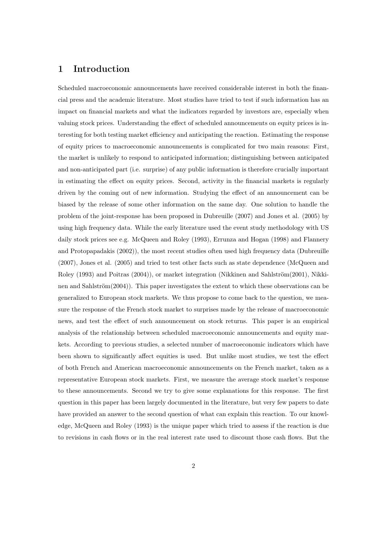### 1 Introduction

Scheduled macroeconomic announcements have received considerable interest in both the financial press and the academic literature. Most studies have tried to test if such information has an impact on financial markets and what the indicators regarded by investors are, especially when valuing stock prices. Understanding the effect of scheduled announcements on equity prices is interesting for both testing market efficiency and anticipating the reaction. Estimating the response of equity prices to macroeconomic announcements is complicated for two main reasons: First, the market is unlikely to respond to anticipated information; distinguishing between anticipated and non-anticipated part (i.e. surprise) of any public information is therefore crucially important in estimating the effect on equity prices. Second, activity in the financial markets is regularly driven by the coming out of new information. Studying the effect of an announcement can be biased by the release of some other information on the same day. One solution to handle the problem of the joint-response has been proposed in Dubreuille (2007) and Jones et al. (2005) by using high frequency data. While the early literature used the event study methodology with US daily stock prices see e.g. McQueen and Roley (1993), Errunza and Hogan (1998) and Flannery and Protopapadakis (2002)), the most recent studies often used high frequency data (Dubreuille (2007), Jones et al. (2005) and tried to test other facts such as state dependence (McQueen and Roley (1993) and Poitras (2004)), or market integration (Nikkinen and Sahlström(2001), Nikkinen and Sahlström(2004)). This paper investigates the extent to which these observations can be generalized to European stock markets. We thus propose to come back to the question, we measure the response of the French stock market to surprises made by the release of macroeconomic news, and test the effect of such announcement on stock returns. This paper is an empirical analysis of the relationship between scheduled macroeconomic announcements and equity markets. According to previous studies, a selected number of macroeconomic indicators which have been shown to significantly affect equities is used. But unlike most studies, we test the effect of both French and American macroeconomic announcements on the French market, taken as a representative European stock markets. First, we measure the average stock market's response to these announcements. Second we try to give some explanations for this response. The first question in this paper has been largely documented in the literature, but very few papers to date have provided an answer to the second question of what can explain this reaction. To our knowledge, McQueen and Roley (1993) is the unique paper which tried to assess if the reaction is due to revisions in cash flows or in the real interest rate used to discount those cash flows. But the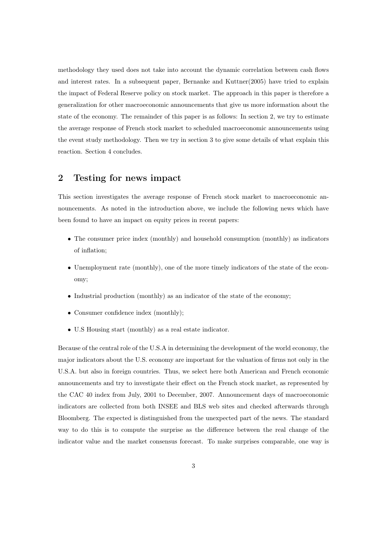methodology they used does not take into account the dynamic correlation between cash flows and interest rates. In a subsequent paper, Bernanke and Kuttner(2005) have tried to explain the impact of Federal Reserve policy on stock market. The approach in this paper is therefore a generalization for other macroeconomic announcements that give us more information about the state of the economy. The remainder of this paper is as follows: In section 2, we try to estimate the average response of French stock market to scheduled macroeconomic announcements using the event study methodology. Then we try in section 3 to give some details of what explain this reaction. Section 4 concludes.

## 2 Testing for news impact

This section investigates the average response of French stock market to macroeconomic announcements. As noted in the introduction above, we include the following news which have been found to have an impact on equity prices in recent papers:

- The consumer price index (monthly) and household consumption (monthly) as indicators of inflation;
- Unemployment rate (monthly), one of the more timely indicators of the state of the economy;
- Industrial production (monthly) as an indicator of the state of the economy;
- Consumer confidence index (monthly);
- U.S Housing start (monthly) as a real estate indicator.

Because of the central role of the U.S.A in determining the development of the world economy, the major indicators about the U.S. economy are important for the valuation of firms not only in the U.S.A. but also in foreign countries. Thus, we select here both American and French economic announcements and try to investigate their effect on the French stock market, as represented by the CAC 40 index from July, 2001 to December, 2007. Announcement days of macroeconomic indicators are collected from both INSEE and BLS web sites and checked afterwards through Bloomberg. The expected is distinguished from the unexpected part of the news. The standard way to do this is to compute the surprise as the difference between the real change of the indicator value and the market consensus forecast. To make surprises comparable, one way is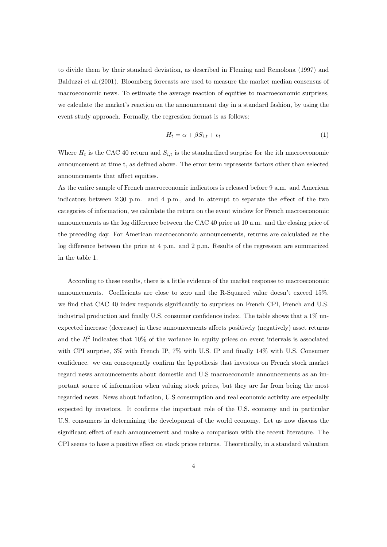to divide them by their standard deviation, as described in Fleming and Remolona (1997) and Balduzzi et al.(2001). Bloomberg forecasts are used to measure the market median consensus of macroeconomic news. To estimate the average reaction of equities to macroeconomic surprises, we calculate the market's reaction on the announcement day in a standard fashion, by using the event study approach. Formally, the regression format is as follows:

$$
H_t = \alpha + \beta S_{i,t} + \epsilon_t \tag{1}
$$

Where  $H_t$  is the CAC 40 return and  $S_{i,t}$  is the standardized surprise for the ith macroeconomic announcement at time t, as defined above. The error term represents factors other than selected announcements that affect equities.

As the entire sample of French macroeconomic indicators is released before 9 a.m. and American indicators between 2:30 p.m. and 4 p.m., and in attempt to separate the effect of the two categories of information, we calculate the return on the event window for French macroeconomic announcements as the log difference between the CAC 40 price at 10 a.m. and the closing price of the preceding day. For American macroeconomic announcements, returns are calculated as the log difference between the price at 4 p.m. and 2 p.m. Results of the regression are summarized in the table 1.

According to these results, there is a little evidence of the market response to macroeconomic announcements. Coefficients are close to zero and the R-Squared value doesn't exceed 15%. we find that CAC 40 index responds significantly to surprises on French CPI, French and U.S. industrial production and finally U.S. consumer confidence index. The table shows that a 1% unexpected increase (decrease) in these announcements affects positively (negatively) asset returns and the  $R^2$  indicates that 10% of the variance in equity prices on event intervals is associated with CPI surprise, 3% with French IP, 7% with U.S. IP and finally 14% with U.S. Consumer confidence. we can consequently confirm the hypothesis that investors on French stock market regard news announcements about domestic and U.S macroeconomic announcements as an important source of information when valuing stock prices, but they are far from being the most regarded news. News about inflation, U.S consumption and real economic activity are especially expected by investors. It confirms the important role of the U.S. economy and in particular U.S. consumers in determining the development of the world economy. Let us now discuss the significant effect of each announcement and make a comparison with the recent literature. The CPI seems to have a positive effect on stock prices returns. Theoretically, in a standard valuation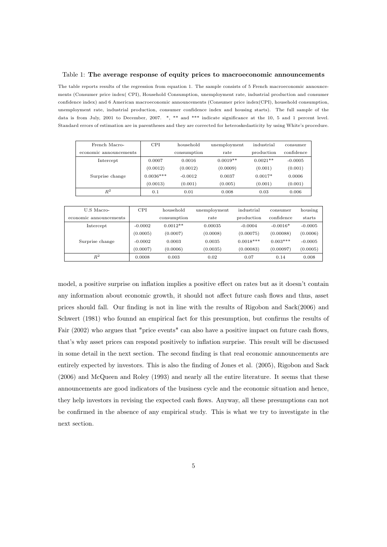#### Table 1: The average response of equity prices to macroeconomic announcements

The table reports results of the regression from equation 1. The sample consists of 5 French macroeconomic announcements (Consumer price index( CPI), Household Consumption, unemployment rate, industrial production and consumer confidence index) and 6 American macroeconomic announcements (Consumer price index(CPI), household consumption, unemployment rate, industrial production, consumer confidence index and housing starts). The full sample of the data is from July, 2001 to December, 2007. \*, \*\* and \*\*\* indicate significance at the 10, 5 and 1 percent level. Standard errors of estimation are in parentheses and they are corrected for heteroskedasticity by using White's procedure.

| French Macro-          | <b>CPI</b>  | household   | unemployment | industrial | consumer   |
|------------------------|-------------|-------------|--------------|------------|------------|
| economic announcements |             | consumption | rate         | production | confidence |
| Intercept              | 0.0007      | 0.0016      | $0.0019**$   | $0.0021**$ | $-0.0005$  |
|                        | (0.0012)    | (0.0012)    | (0.0009)     | (0.001)    | (0.001)    |
| Surprise change        | $0.0036***$ | $-0.0012$   | 0.0037       | $0.0017*$  | 0.0006     |
|                        | (0.0013)    | (0.001)     | (0.005)      | (0.001)    | (0.001)    |
| $\,R^2$                | 0.1         | 0.01        | 0.008        | 0.03       | 0.006      |
|                        |             |             |              |            |            |

| U.S. Macro-            | <b>CPI</b> | household   | unemployment | industrial  | consumer   | housing   |
|------------------------|------------|-------------|--------------|-------------|------------|-----------|
| economic announcements |            | consumption | rate         | production  | confidence | starts    |
| Intercept              | $-0.0002$  | $0.0012**$  | 0.00035      | $-0.0004$   | $-0.0016*$ | $-0.0005$ |
|                        | (0.0005)   | (0.0007)    | (0.0008)     | (0.00075)   | (0.00088)  | (0.0006)  |
| Surprise change        | $-0.0002$  | 0.0003      | 0.0035       | $0.0018***$ | $0.003***$ | $-0.0005$ |
|                        | (0.0007)   | (0.0006)    | (0.0035)     | (0.00083)   | (0.00097)  | (0.0005)  |
| $R^2$                  | 0.0008     | 0.003       | 0.02         | 0.07        | 0.14       | 0.008     |

model, a positive surprise on inflation implies a positive effect on rates but as it doesn't contain any information about economic growth, it should not affect future cash flows and thus, asset prices should fall. Our finding is not in line with the results of Rigobon and Sack(2006) and Schwert (1981) who founnd an empirical fact for this presumption, but confirms the results of Fair (2002) who argues that "price events" can also have a positive impact on future cash flows, that's why asset prices can respond positively to inflation surprise. This result will be discussed in some detail in the next section. The second finding is that real economic announcements are entirely expected by investors. This is also the finding of Jones et al. (2005), Rigobon and Sack (2006) and McQueen and Roley (1993) and nearly all the entire literature. It seems that these announcements are good indicators of the business cycle and the economic situation and hence, they help investors in revising the expected cash flows. Anyway, all these presumptions can not be confirmed in the absence of any empirical study. This is what we try to investigate in the next section.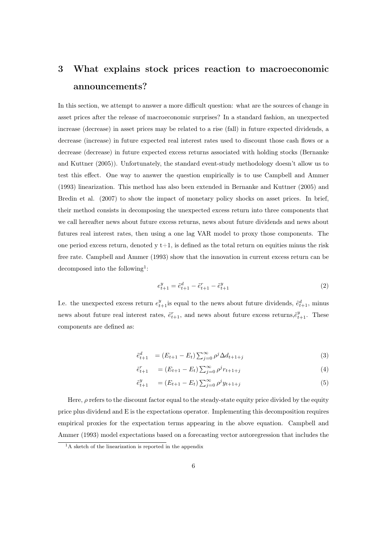# 3 What explains stock prices reaction to macroeconomic announcements?

In this section, we attempt to answer a more difficult question: what are the sources of change in asset prices after the release of macroeconomic surprises? In a standard fashion, an unexpected increase (decrease) in asset prices may be related to a rise (fall) in future expected dividends, a decrease (increase) in future expected real interest rates used to discount those cash flows or a decrease (decrease) in future expected excess returns associated with holding stocks (Bernanke and Kuttner (2005)). Unfortunately, the standard event-study methodology doesn't allow us to test this effect. One way to answer the question empirically is to use Campbell and Ammer (1993) linearization. This method has also been extended in Bernanke and Kuttner (2005) and Bredin et al. (2007) to show the impact of monetary policy shocks on asset prices. In brief, their method consists in decomposing the unexpected excess return into three components that we call hereafter news about future excess returns, news about future dividends and news about futures real interest rates, then using a one lag VAR model to proxy those components. The one period excess return, denoted  $y t+1$ , is defined as the total return on equities minus the risk free rate. Campbell and Ammer (1993) show that the innovation in current excess return can be decomposed into the following<sup>1</sup>:

$$
e_{t+1}^y = \tilde{e}_{t+1}^d - \tilde{e}_{t+1}^r - \tilde{e}_{t+1}^y \tag{2}
$$

I.e. the unexpected excess return  $e_{t+1}^y$  is equal to the news about future dividends,  $\tilde{e}_{t+1}^d$ , minus news about future real interest rates,  $\tilde{e}^r_{t+1}$ , and news about future excess returns, $\tilde{e}^y_{t+1}$ . These components are defined as:

$$
\tilde{e}_{t+1}^d = (E_{t+1} - E_t) \sum_{j=0}^{\infty} \rho^j \Delta d_{t+1+j}
$$
\n(3)

$$
\tilde{e}_{t+1}^r = (E_{t+1} - E_t) \sum_{j=0}^{\infty} \rho^j r_{t+1+j}
$$
\n(4)

$$
\tilde{e}_{t+1}^y = (E_{t+1} - E_t) \sum_{j=0}^{\infty} \rho^j y_{t+1+j}
$$
\n(5)

Here,  $\rho$  refers to the discount factor equal to the steady-state equity price divided by the equity price plus dividend and E is the expectations operator. Implementing this decomposition requires empirical proxies for the expectation terms appearing in the above equation. Campbell and Ammer (1993) model expectations based on a forecasting vector autoregression that includes the

<sup>&</sup>lt;sup>1</sup>A sketch of the linearization is reported in the appendix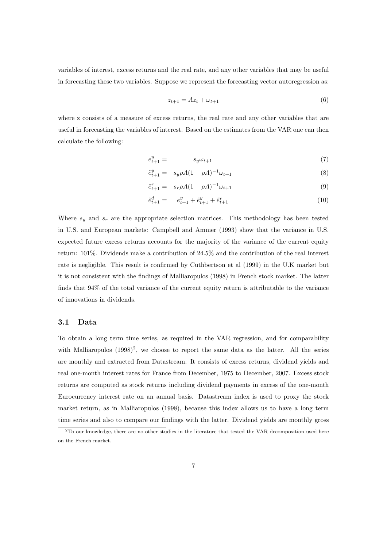variables of interest, excess returns and the real rate, and any other variables that may be useful in forecasting these two variables. Suppose we represent the forecasting vector autoregression as:

$$
z_{t+1} = Az_t + \omega_{t+1} \tag{6}
$$

where z consists of a measure of excess returns, the real rate and any other variables that are useful in forecasting the variables of interest. Based on the estimates from the VAR one can then calculate the following:

$$
e_{t+1}^y = s_y \omega_{t+1} \tag{7}
$$

$$
\tilde{e}_{t+1}^y = s_y \rho A (1 - \rho A)^{-1} \omega_{t+1} \tag{8}
$$

$$
\tilde{e}_{t+1}^r = s_r \rho A (1 - \rho A)^{-1} \omega_{t+1} \tag{9}
$$

$$
\tilde{e}_{t+1}^d = e_{t+1}^y + \tilde{e}_{t+1}^y + \tilde{e}_{t+1}^r \tag{10}
$$

Where  $s_y$  and  $s_x$  are the appropriate selection matrices. This methodology has been tested in U.S. and European markets: Campbell and Ammer (1993) show that the variance in U.S. expected future excess returns accounts for the majority of the variance of the current equity return: 101%. Dividends make a contribution of 24.5% and the contribution of the real interest rate is negligible. This result is confirmed by Cuthbertson et al (1999) in the U.K market but it is not consistent with the findings of Malliaropulos (1998) in French stock market. The latter finds that 94% of the total variance of the current equity return is attributable to the variance of innovations in dividends.

#### 3.1 Data

To obtain a long term time series, as required in the VAR regression, and for comparability with Malliaropulos  $(1998)^2$ , we choose to report the same data as the latter. All the series are monthly and extracted from Datastream. It consists of excess returns, dividend yields and real one-month interest rates for France from December, 1975 to December, 2007. Excess stock returns are computed as stock returns including dividend payments in excess of the one-month Eurocurrency interest rate on an annual basis. Datastream index is used to proxy the stock market return, as in Malliaropulos (1998), because this index allows us to have a long term time series and also to compare our findings with the latter. Dividend yields are monthly gross

<sup>2</sup>To our knowledge, there are no other studies in the literature that tested the VAR decomposition used here on the French market.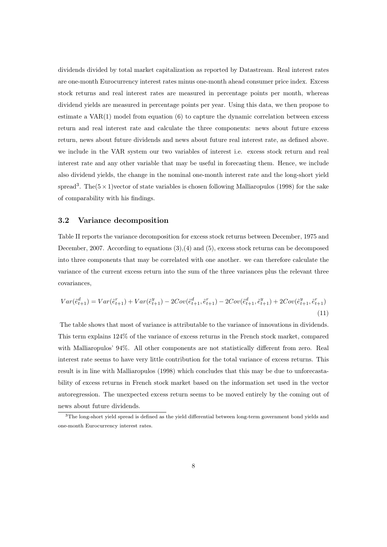dividends divided by total market capitalization as reported by Datastream. Real interest rates are one-month Eurocurrency interest rates minus one-month ahead consumer price index. Excess stock returns and real interest rates are measured in percentage points per month, whereas dividend yields are measured in percentage points per year. Using this data, we then propose to estimate a VAR(1) model from equation (6) to capture the dynamic correlation between excess return and real interest rate and calculate the three components: news about future excess return, news about future dividends and news about future real interest rate, as defined above. we include in the VAR system our two variables of interest i.e. excess stock return and real interest rate and any other variable that may be useful in forecasting them. Hence, we include also dividend yields, the change in the nominal one-month interest rate and the long-short yield spread<sup>3</sup>. The( $5 \times 1$ )vector of state variables is chosen following Malliaropulos (1998) for the sake of comparability with his findings.

#### 3.2 Variance decomposition

Table II reports the variance decomposition for excess stock returns between December, 1975 and December, 2007. According to equations (3),(4) and (5), excess stock returns can be decomposed into three components that may be correlated with one another. we can therefore calculate the variance of the current excess return into the sum of the three variances plus the relevant three covariances,

$$
Var(\tilde{e}_{t+1}^d) = Var(\tilde{e}_{t+1}^r) + Var(\tilde{e}_{t+1}^y) - 2Cov(\tilde{e}_{t+1}^d, \tilde{e}_{t+1}^r) - 2Cov(\tilde{e}_{t+1}^d, \tilde{e}_{t+1}^y) + 2Cov(\tilde{e}_{t+1}^y, \tilde{e}_{t+1}^r)
$$
\n(11)

The table shows that most of variance is attributable to the variance of innovations in dividends. This term explains 124% of the variance of excess returns in the French stock market, compared with Malliaropulos' 94%. All other components are not statistically different from zero. Real interest rate seems to have very little contribution for the total variance of excess returns. This result is in line with Malliaropulos (1998) which concludes that this may be due to unforecastability of excess returns in French stock market based on the information set used in the vector autoregression. The unexpected excess return seems to be moved entirely by the coming out of news about future dividends.

<sup>3</sup>The long-short yield spread is defined as the yield differential between long-term government bond yields and one-month Eurocurrency interest rates.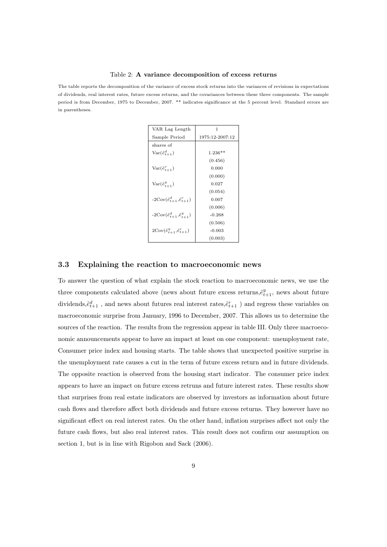#### Table 2: A variance decomposition of excess returns

The table reports the decomposition of the variance of excess stock returns into the variances of revisions in expectations of dividends, real interest rates, future excess returns, and the covariances between these three components. The sample period is from December, 1975 to December, 2007. \*\* indicates significance at the 5 percent level. Standard errors are in parentheses.

| VAR Lag Length                                       | 1               |  |  |
|------------------------------------------------------|-----------------|--|--|
| Sample Period                                        | 1975:12-2007:12 |  |  |
| shares of                                            |                 |  |  |
| $Var(\tilde{e}_{t+1}^d)$                             | $1.236**$       |  |  |
|                                                      | (0.456)         |  |  |
| $Var(\tilde{e}_{t+1}^r)$                             | 0.000           |  |  |
|                                                      | (0.000)         |  |  |
| $Var(\tilde{e}_{t+1}^y)$                             | 0.027           |  |  |
|                                                      | (0.054)         |  |  |
| $-2\text{Cov}(\tilde{e}_{t+1}^d, \tilde{e}_{t+1}^r)$ | 0.007           |  |  |
|                                                      | (0.006)         |  |  |
| $-2\text{Cov}(\tilde{e}_{t+1}^d, \tilde{e}_{t+1}^y)$ | $-0.268$        |  |  |
|                                                      | (0.506)         |  |  |
| $2\text{Cov}(\tilde{e}_{t+1}^y, \tilde{e}_{t+1}^r)$  | $-0.003$        |  |  |
|                                                      | (0.003)         |  |  |

#### 3.3 Explaining the reaction to macroeconomic news

To answer the question of what explain the stock reaction to macroeconomic news, we use the three components calculated above (news about future excess returns,  $\tilde{e}^y_{t+1}$ , news about future dividends, $\tilde{e}^d_{t+1}$ , and news about futures real interest rates, $\tilde{e}^r_{t+1}$ ) and regress these variables on macroeconomic surprise from January, 1996 to December, 2007. This allows us to determine the sources of the reaction. The results from the regression appear in table III. Only three macroeconomic announcements appear to have an impact at least on one component: unemployment rate, Consumer price index and housing starts. The table shows that unexpected positive surprise in the unemployment rate causes a cut in the term of future excess return and in future dividends. The opposite reaction is observed from the housing start indicator. The consumer price index appears to have an impact on future excess retruns and future interest rates. These results show that surprises from real estate indicators are observed by investors as information about future cash flows and therefore affect both dividends and future excess returns. They however have no significant effect on real interest rates. On the other hand, inflation surprises affect not only the future cash flows, but also real interest rates. This result does not confirm our assumption on section 1, but is in line with Rigobon and Sack (2006).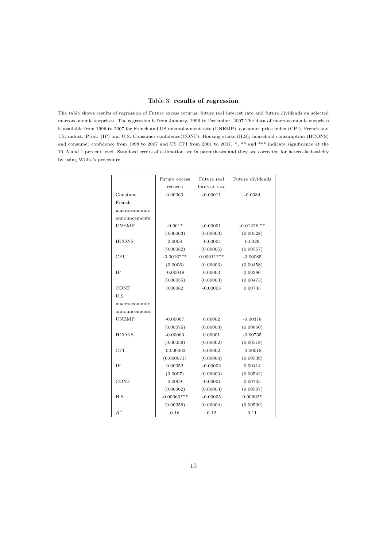#### Table 3: results of regression

The table shows results of regression of Future excess returns, future real interest rate and future dividends on selected macroeconomic surprises. The regression is from January, 1996 to December, 2007.The data of macroeconomic surprises is available from 1996 to 2007 for French and US unemployment rate (UNEMP), consumer price index (CPI), French and US. indust. Prod. (IP) and U.S. Consumer confidence(CONF). Housing starts (H.S), household consumption (HCONS) and consumer confidence from 1998 to 2007 and US CPI from 2001 to 2007. \*, \*\* and \*\*\* indicate significance at the 10, 5 and 1 percent level. Standard errors of estimation are in parentheses and they are corrected for heteroskedasticity by using White's procedure.

|                | Future excess | Future real   | Future dividends |  |
|----------------|---------------|---------------|------------------|--|
|                | returns       | interest rate |                  |  |
| Constant       | 0.00063       | $-0.00011$    | $-0.0034$        |  |
| French         |               |               |                  |  |
| macroeconomic  |               |               |                  |  |
| announcements: |               |               |                  |  |
| <b>UNEMP</b>   | $-0.001*$     | $-0.00001$    | $-0.01228$ **    |  |
|                | (0.00063)     | (0.00003)     | (0.00528)        |  |
| <b>HCONS</b>   | 0.0008        | $-0.00004$    | 0.0029           |  |
|                | (0.00082)     | (0.00005)     | (0.00557)        |  |
| <b>CPI</b>     | $-0.0016***$  | $0.00011***$  | $-0.00085$       |  |
|                | (0.0006)      | (0.00003)     | (0.00458)        |  |
| IP             | $-0.00018$    | 0.00003       | 0.00396          |  |
|                | (0.00055)     | (0.00003)     | (0.00473)        |  |
| CONF           | 0.00082       | $-0.00003$    | 0.00735          |  |
| U.S            |               |               |                  |  |
| macroeconomic  |               |               |                  |  |
| announcements: |               |               |                  |  |
| <b>UNEMP</b>   | $-0.00067$    | 0.00002       | $-0.00378$       |  |
|                | (0.00076)     | (0.00003)     | (0.00650)        |  |
| <b>HCONS</b>   | $-0.00063$    | 0.00001       | $-0.00735$       |  |
|                | (0.00056)     | (0.00002)     | (0.00518)        |  |
| <b>CPI</b>     | $-0.000063$   | 0.00002       | $-0.00018$       |  |
|                | (0.000071)    | (0.00004)     | (0.00539)        |  |
| IP             | 0.00052       | $-0.00002$    | 0.00414          |  |
|                | (0.0007)      | (0.00003)     | (0.00542)        |  |
| CONF           | 0.0009        | $-0.00001$    | 0.00705          |  |
|                | (0.00062)     | (0.00003)     | (0.00507)        |  |
| H.S            | $-0.00063***$ | $-0.00005$    | $0.00902*$       |  |
|                | (0.00056)     | (0.00004)     | (0.00509)        |  |
| $R^2$          | 0.16          | 0.12          | 0.11             |  |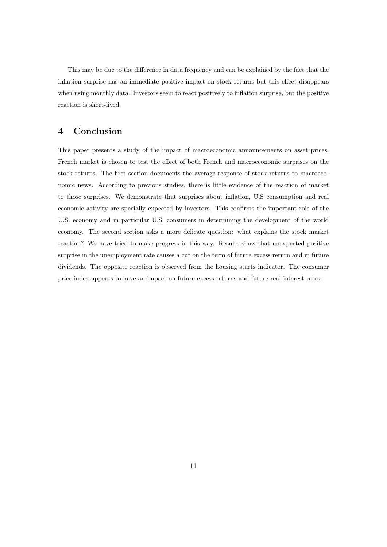This may be due to the difference in data frequency and can be explained by the fact that the inflation surprise has an immediate positive impact on stock returns but this effect disappears when using monthly data. Investors seem to react positively to inflation surprise, but the positive reaction is short-lived.

## 4 Conclusion

This paper presents a study of the impact of macroeconomic announcements on asset prices. French market is chosen to test the effect of both French and macroeconomic surprises on the stock returns. The first section documents the average response of stock returns to macroeconomic news. According to previous studies, there is little evidence of the reaction of market to those surprises. We demonstrate that surprises about inflation, U.S consumption and real economic activity are specially expected by investors. This confirms the important role of the U.S. economy and in particular U.S. consumers in determining the development of the world economy. The second section asks a more delicate question: what explains the stock market reaction? We have tried to make progress in this way. Results show that unexpected positive surprise in the unemployment rate causes a cut on the term of future excess return and in future dividends. The opposite reaction is observed from the housing starts indicator. The consumer price index appears to have an impact on future excess returns and future real interest rates.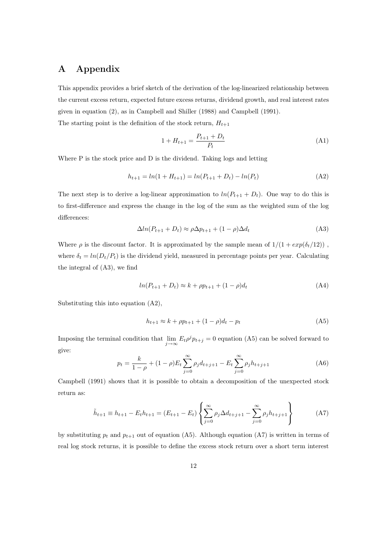# A Appendix

This appendix provides a brief sketch of the derivation of the log-linearized relationship between the current excess return, expected future excess returns, dividend growth, and real interest rates given in equation (2), as in Campbell and Shiller (1988) and Campbell (1991). The starting point is the definition of the stock return,  $H_{t+1}$ 

$$
1 + H_{t+1} = \frac{P_{t+1} + D_t}{P_t} \tag{A1}
$$

Where P is the stock price and D is the dividend. Taking logs and letting

$$
h_{t+1} = \ln(1 + H_{t+1}) = \ln(P_{t+1} + D_t) - \ln(P_t)
$$
\n(A2)

The next step is to derive a log-linear approximation to  $ln(P_{t+1} + D_t)$ . One way to do this is to first-difference and express the change in the log of the sum as the weighted sum of the log differences:

$$
\Delta ln(P_{t+1} + D_t) \approx \rho \Delta p_{t+1} + (1 - \rho) \Delta d_t \tag{A3}
$$

Where  $\rho$  is the discount factor. It is approximated by the sample mean of  $1/(1 + exp(\delta_t/12))$ , where  $\delta_t = \ln(D_t/P_t)$  is the dividend yield, measured in percentage points per year. Calculating the integral of (A3), we find

$$
ln(P_{t+1} + D_t) \approx k + \rho p_{t+1} + (1 - \rho)d_t
$$
\n(A4)

Substituting this into equation (A2),

$$
h_{t+1} \approx k + \rho p_{t+1} + (1 - \rho)d_t - p_t \tag{A5}
$$

Imposing the terminal condition that  $\lim_{j\to\infty} E_t \rho^j p_{t+j} = 0$  equation (A5) can be solved forward to give:

$$
p_t = \frac{k}{1 - \rho} + (1 - \rho) E_t \sum_{j=0}^{\infty} \rho_j d_{t+j+1} - E_t \sum_{j=0}^{\infty} \rho_j h_{t+j+1}
$$
 (A6)

Campbell (1991) shows that it is possible to obtain a decomposition of the unexpected stock return as:

$$
\tilde{h}_{t+1} \equiv h_{t+1} - E_t h_{t+1} = (E_{t+1} - E_t) \left\{ \sum_{j=0}^{\infty} \rho_j \Delta d_{t+j+1} - \sum_{j=0}^{\infty} \rho_j h_{t+j+1} \right\}
$$
(A7)

by substituting  $p_t$  and  $p_{t+1}$  out of equation (A5). Although equation (A7) is written in terms of real log stock returns, it is possible to define the excess stock return over a short term interest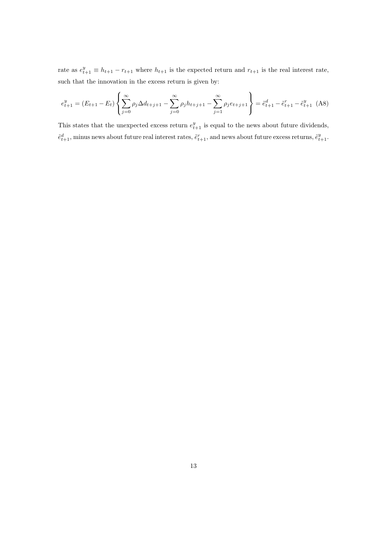rate as  $e_{t+1}^y \equiv h_{t+1} - r_{t+1}$  where  $h_{t+1}$  is the expected return and  $r_{t+1}$  is the real interest rate, such that the innovation in the excess return is given by:

$$
e_{t+1}^y = (E_{t+1} - E_t) \left\{ \sum_{j=0}^{\infty} \rho_j \Delta d_{t+j+1} - \sum_{j=0}^{\infty} \rho_j h_{t+j+1} - \sum_{j=1}^{\infty} \rho_j e_{t+j+1} \right\} = \tilde{e}_{t+1}^d - \tilde{e}_{t+1}^r - \tilde{e}_{t+1}^y
$$
 (A8)

This states that the unexpected excess return  $e_{t+1}^y$  is equal to the news about future dividends,  $\tilde{e}^d_{t+1}$ , minus news about future real interest rates,  $\tilde{e}^r_{t+1}$ , and news about future excess returns,  $\tilde{e}^y_{t+1}$ .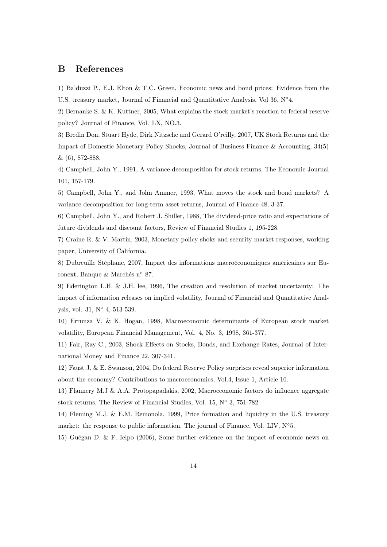## B References

1) Balduzzi P., E.J. Elton & T.C. Green, Economic news and bond prices: Evidence from the U.S. treasury market, Journal of Financial and Quantitative Analysis, Vol 36, N◦4.

2) Bernanke S. & K. Kuttner, 2005, What explains the stock market's reaction to federal reserve policy? Journal of Finance, Vol. LX, NO.3.

3) Bredin Don, Stuart Hyde, Dirk Nitzsche and Gerard O'reilly, 2007, UK Stock Returns and the Impact of Domestic Monetary Policy Shocks, Journal of Business Finance & Accounting, 34(5) & (6), 872-888.

4) Campbell, John Y., 1991, A variance decomposition for stock returns, The Economic Journal 101, 157-179.

5) Campbell, John Y., and John Ammer, 1993, What moves the stock and bond markets? A variance decomposition for long-term asset returns, Journal of Finance 48, 3-37.

6) Campbell, John Y., and Robert J. Shiller, 1988, The dividend-price ratio and expectations of future dividends and discount factors, Review of Financial Studies 1, 195-228.

7) Craine R. & V. Martin, 2003, Monetary policy shoks and security market responses, working paper, University of California.

8) Dubreuille Stéphane, 2007, Impact des informations macroéconomiques américaines sur Euronext, Banque & Marchés n◦ 87.

9) Ederington L.H. & J.H. lee, 1996, The creation and resolution of market uncertainty: The impact of information releases on implied volatility, Journal of Financial and Quantitative Analysis, vol. 31, N◦ 4, 513-539.

10) Errunza V. & K. Hogan, 1998, Macroeconomic determinants of European stock market volatility, European Financial Management, Vol. 4, No. 3, 1998, 361-377.

11) Fair, Ray C., 2003, Shock Effects on Stocks, Bonds, and Exchange Rates, Journal of International Money and Finance 22, 307-341.

12) Faust J. & E. Swanson, 2004, Do federal Reserve Policy surprises reveal superior information about the economy? Contributions to macroeconomics, Vol.4, Issue 1, Article 10.

13) Flannery M.J & A.A. Protopapadakis, 2002, Macroeconomic factors do influence aggregate stock returns, The Review of Financial Studies, Vol. 15, N◦ 3, 751-782.

14) Fleming M.J. & E.M. Remonola, 1999, Price formation and liquidity in the U.S. treasury market: the response to public information, The journal of Finance, Vol. LIV,  $N^{\circ}5$ .

15) Guégan D. & F. Ielpo (2006), Some further evidence on the impact of economic news on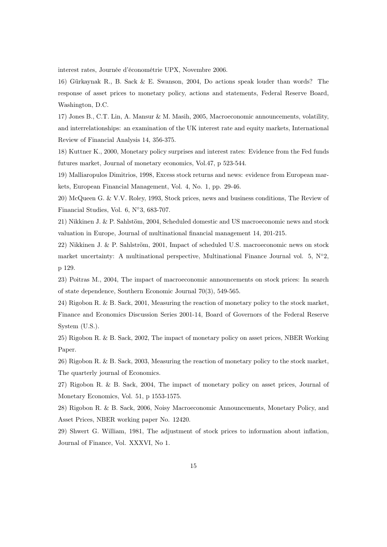interest rates, Journée d'économétrie UPX, Novembre 2006.

16) Gürkaynak R., B. Sack & E. Swanson, 2004, Do actions speak louder than words? The response of asset prices to monetary policy, actions and statements, Federal Reserve Board, Washington, D.C.

17) Jones B., C.T. Lin, A. Mansur & M. Masih, 2005, Macroeconomic announcements, volatility, and interrelationships: an examination of the UK interest rate and equity markets, International Review of Financial Analysis 14, 356-375.

18) Kuttner K., 2000, Monetary policy surprises and interest rates: Evidence from the Fed funds futures market, Journal of monetary economics, Vol.47, p 523-544.

19) Malliaropulos Dimitrios, 1998, Excess stock returns and news: evidence from European markets, European Financial Management, Vol. 4, No. 1, pp. 29-46.

20) McQueen G. & V.V. Roley, 1993, Stock prices, news and business conditions, The Review of Financial Studies, Vol. 6, N◦3, 683-707.

21) Nikkinen J. & P. Sahlstöm, 2004, Scheduled domestic and US macroeconomic news and stock valuation in Europe, Journal of multinational financial management 14, 201-215.

22) Nikkinen J. & P. Sahlström, 2001, Impact of scheduled U.S. macroeconomic news on stock market uncertainty: A multinational perspective, Multinational Finance Journal vol. 5,  $N^{\circ}2$ , p 129.

23) Poitras M., 2004, The impact of macroeconomic announcements on stock prices: In search of state dependence, Southern Economic Journal 70(3), 549-565.

24) Rigobon R. & B. Sack, 2001, Measuring the reaction of monetary policy to the stock market, Finance and Economics Discussion Series 2001-14, Board of Governors of the Federal Reserve System (U.S.).

25) Rigobon R. & B. Sack, 2002, The impact of monetary policy on asset prices, NBER Working Paper.

26) Rigobon R. & B. Sack, 2003, Measuring the reaction of monetary policy to the stock market, The quarterly journal of Economics.

27) Rigobon R. & B. Sack, 2004, The impact of monetary policy on asset prices, Journal of Monetary Economics, Vol. 51, p 1553-1575.

28) Rigobon R. & B. Sack, 2006, Noisy Macroeconomic Announcements, Monetary Policy, and Asset Prices, NBER working paper No. 12420.

29) Shwert G. William, 1981, The adjustment of stock prices to information about inflation, Journal of Finance, Vol. XXXVI, No 1.